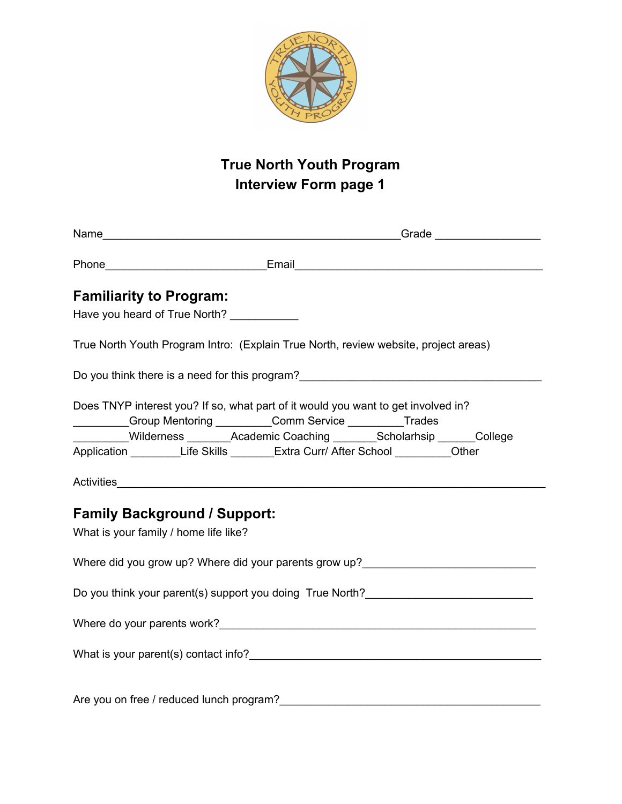

## **True North Youth Program Interview Form page 1**

| <b>Familiarity to Program:</b> |                                                                                                                                                              |  |  |  |
|--------------------------------|--------------------------------------------------------------------------------------------------------------------------------------------------------------|--|--|--|
|                                | Have you heard of True North? ___________                                                                                                                    |  |  |  |
|                                | True North Youth Program Intro: (Explain True North, review website, project areas)                                                                          |  |  |  |
|                                | Do you think there is a need for this program?__________________________________                                                                             |  |  |  |
|                                | Does TNYP interest you? If so, what part of it would you want to get involved in?                                                                            |  |  |  |
|                                | _________Group Mentoring __________Comm Service __________Trades                                                                                             |  |  |  |
|                                | Milderness ________Academic Coaching ________Scholarhsip ______College<br>Application __________Life Skills ________Extra Curr/ After School __________Other |  |  |  |
|                                |                                                                                                                                                              |  |  |  |
|                                |                                                                                                                                                              |  |  |  |
|                                | <b>Family Background / Support:</b>                                                                                                                          |  |  |  |
|                                | What is your family / home life like?                                                                                                                        |  |  |  |
|                                | Where did you grow up? Where did your parents grow up?                                                                                                       |  |  |  |
|                                |                                                                                                                                                              |  |  |  |
|                                |                                                                                                                                                              |  |  |  |
|                                |                                                                                                                                                              |  |  |  |
|                                |                                                                                                                                                              |  |  |  |
|                                | Are you on free / reduced lunch program?                                                                                                                     |  |  |  |